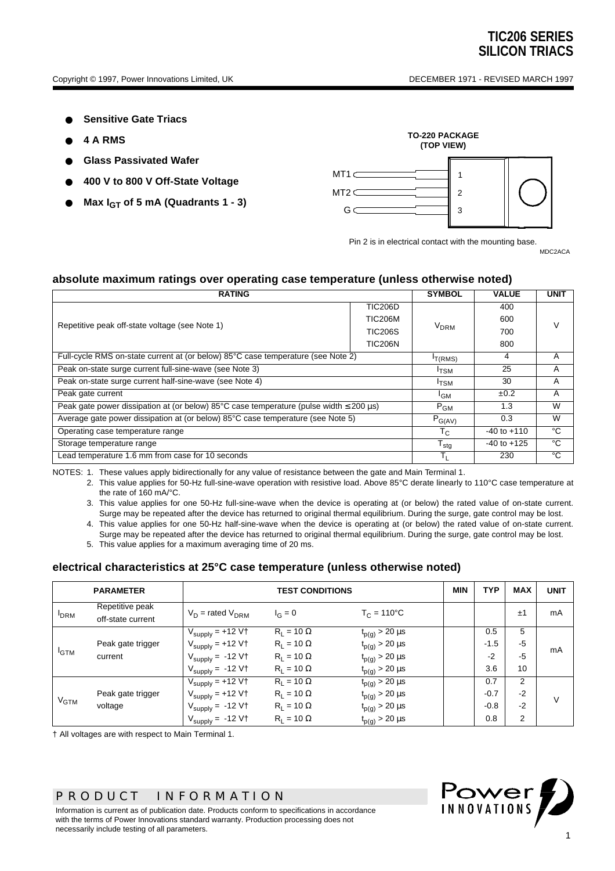- **Sensitive Gate Triacs**
- **4 A RMS**
- **Glass Passivated Wafer**
- **400 V to 800 V Off-State Voltage**
- **Max**  $I_{GT}$  **of 5 mA (Quadrants 1 3)**



Pin 2 is in electrical contact with the mounting base.

MDC2ACA

## **absolute maximum ratings over operating case temperature (unless otherwise noted)**

| <b>RATING</b>                                                                                              |                 |                        | <b>VALUE</b>    | <b>UNIT</b> |  |
|------------------------------------------------------------------------------------------------------------|-----------------|------------------------|-----------------|-------------|--|
|                                                                                                            | <b>TIC206D</b>  |                        | 400             |             |  |
| Repetitive peak off-state voltage (see Note 1)                                                             | <b>TIC206M</b>  |                        | 600             | V           |  |
|                                                                                                            | <b>TIC206S</b>  | <b>V<sub>DRM</sub></b> | 700             |             |  |
|                                                                                                            | <b>TIC206N</b>  |                        | 800             |             |  |
| Full-cycle RMS on-state current at (or below) 85°C case temperature (see Note 2)                           |                 |                        | 4               | A           |  |
| Peak on-state surge current full-sine-wave (see Note 3)                                                    |                 |                        | 25              | A           |  |
| Peak on-state surge current half-sine-wave (see Note 4)                                                    |                 |                        | 30              | A           |  |
| Peak gate current                                                                                          | <sup>I</sup> GM | ±0.2                   | A               |             |  |
| Peak gate power dissipation at (or below) $85^{\circ}$ C case temperature (pulse width $\leq$ 200 $\mu$ s) |                 |                        | 1.3             | W           |  |
| Average gate power dissipation at (or below) 85°C case temperature (see Note 5)                            |                 |                        | 0.3             | W           |  |
| Operating case temperature range                                                                           |                 |                        | $-40$ to $+110$ | °C          |  |
| Storage temperature range                                                                                  | $T_{\sf stg}$   | $-40$ to $+125$        | °C              |             |  |
| Lead temperature 1.6 mm from case for 10 seconds                                                           |                 |                        | 230             | °C          |  |

NOTES: 1. These values apply bidirectionally for any value of resistance between the gate and Main Terminal 1.

2. This value applies for 50-Hz full-sine-wave operation with resistive load. Above 85°C derate linearly to 110°C case temperature at the rate of 160 mA/°C.

- 3. This value applies for one 50-Hz full-sine-wave when the device is operating at (or below) the rated value of on-state current. Surge may be repeated after the device has returned to original thermal equilibrium. During the surge, gate control may be lost.
- 4. This value applies for one 50-Hz half-sine-wave when the device is operating at (or below) the rated value of on-state current. Surge may be repeated after the device has returned to original thermal equilibrium. During the surge, gate control may be lost.
- 5. This value applies for a maximum averaging time of 20 ms.

#### **electrical characteristics at 25°C case temperature (unless otherwise noted)**

| <b>PARAMETER</b> |                                      | <b>TEST CONDITIONS</b>                 |                   |                         | <b>MIN</b> | <b>TYP</b> | <b>MAX</b>     | <b>UNIT</b> |
|------------------|--------------------------------------|----------------------------------------|-------------------|-------------------------|------------|------------|----------------|-------------|
| <b>DRM</b>       | Repetitive peak<br>off-state current | $V_D$ = rated $V_{DRM}$                | $I_G = 0$         | $T_C = 110^{\circ}C$    |            |            | ±1             | mA          |
| <sup>I</sup> GTM |                                      | $V_{\text{supply}} = +12 \overline{V}$ | $R_1 = 10 \Omega$ | $t_{p(g)}$ > 20 $\mu s$ |            | 0.5        | 5              | mA          |
|                  | Peak gate trigger                    | $V_{\text{supply}} = +12 V \uparrow$   | $R_1 = 10 \Omega$ | $t_{p(g)}$ > 20 $\mu$ s |            | $-1.5$     | $-5$           |             |
|                  | current                              | $V_{\text{supply}} = -12 \text{ V}$    | $R_1 = 10 \Omega$ | $t_{p(g)}$ > 20 $\mu$ s |            | $-2$       | $-5$           |             |
|                  |                                      | $V_{\text{supply}} = -12 \text{ V}$    | $R_1 = 10 \Omega$ | $t_{p(g)}$ > 20 $\mu s$ |            | 3.6        | 10             |             |
| $V_{GTM}$        |                                      | $V_{\text{supply}} = +12 \text{ V}$    | $R_1 = 10 \Omega$ | $t_{p(g)} > 20 \,\mu s$ |            | 0.7        | 2              | $\vee$      |
|                  | Peak gate trigger                    | $V_{\text{supply}} = +12 V \uparrow$   | $R_1 = 10 \Omega$ | $t_{p(g)}$ > 20 $\mu s$ |            | $-0.7$     | $-2$           |             |
|                  | voltage                              | $V_{\text{supply}} = -12 \text{ V}$    | $R_1 = 10 \Omega$ | $t_{p(g)}$ > 20 $\mu$ s |            | $-0.8$     | $-2$           |             |
|                  |                                      | $V_{\text{supply}} = -12 \text{ V}$    | $R_L = 10 \Omega$ | $t_{p(g)}$ > 20 $\mu s$ |            | 0.8        | $\overline{2}$ |             |

† All voltages are with respect to Main Terminal 1.

## *PRODUCT INFORMATION*

Information is current as of publication date. Products conform to specifications in accordance with the terms of Power Innovations standard warranty. Production processing does not necessarily include testing of all parameters.

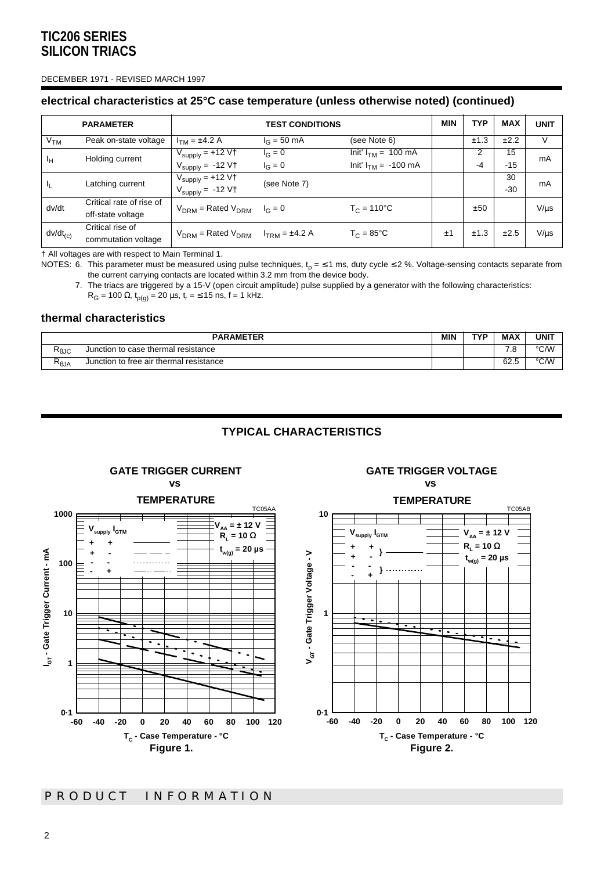#### DECEMBER 1971 - REVISED MARCH 1997

## **electrical characteristics at 25°C case temperature (unless otherwise noted) (continued)**

|                 | <b>PARAMETER</b>         | <b>TEST CONDITIONS</b>                         |                       |                                  | <b>MIN</b> | TYP  | <b>MAX</b> | <b>UNIT</b> |
|-----------------|--------------------------|------------------------------------------------|-----------------------|----------------------------------|------------|------|------------|-------------|
| V <sub>TM</sub> | Peak on-state voltage    | $I_{TM} = \pm 4.2 A$                           | $I_G = 50 \text{ mA}$ | (see Note 6)                     |            | ±1.3 | ±2.2       |             |
| Īн              | Holding current          | $V_{\text{supply}} = +12 V \uparrow$           | $I_G = 0$             | Init' $I_{TM}$ = 100 mA          |            | 2    | 15         | mA          |
|                 |                          | $V_{\text{supply}} = -12 \text{ V}$            | $I_G = 0$             | $Init' I_{TM} = -100 \text{ mA}$ |            | -4   | $-15$      |             |
| I <sub>L</sub>  | Latching current         | $V_{\text{supply}} = +12 \text{ V}$            | (see Note 7)          |                                  |            | 30   | mA         |             |
|                 |                          | $V_{\text{supply}} = -12 \text{ V}$            |                       |                                  |            |      | $-30$      |             |
| dv/dt           | Critical rate of rise of | $V_{DRM}$ = Rated $V_{DRM}$ $I_G = 0$          |                       | $T_C = 110^{\circ}C$             |            | ±50  |            | $V/\mu s$   |
|                 | off-state voltage        |                                                |                       |                                  |            |      |            |             |
| $dv/dt_{(c)}$   | Critical rise of         | $V_{DRM}$ = Rated $V_{DRM}$ $I_{TRM}$ = ±4.2 A |                       | $T_C = 85^{\circ}C$              | ±1         | ±1.3 | ±2.5       | $V/\mu s$   |
|                 | commutation voltage      |                                                |                       |                                  |            |      |            |             |

† All voltages are with respect to Main Terminal 1.

NOTES: 6. This parameter must be measured using pulse techniques,  ${\sf t_p}$  = ≤ 1 ms, duty cycle ≤ 2 %. Voltage-sensing contacts separate from the current carrying contacts are located within 3.2 mm from the device body.

7. The triacs are triggered by a 15-V (open circuit amplitude) pulse supplied by a generator with the following characteristics:

 $R$ <sub>G</sub> = 100 Ω, t<sub>p(g)</sub> = 20 μs, t<sub>r</sub> = ≤ 15 ns, f = 1 kHz.

## **thermal characteristics**

| <b>PARAMETER</b>          |                                         |  | <b>TVP</b> | <b>MAX</b> | <b>UNIT</b> |
|---------------------------|-----------------------------------------|--|------------|------------|-------------|
| RθJC                      | Junction to case thermal resistance     |  |            | ة. '       | °C/W        |
| D<br>$\kappa_{\theta}$ JA | Junction to free air thermal resistance |  |            | 62.5       | °C∕W        |

## **TYPICAL CHARACTERISTICS**



**GATE TRIGGER CURRENT**

## **GATE TRIGGER VOLTAGE vs**

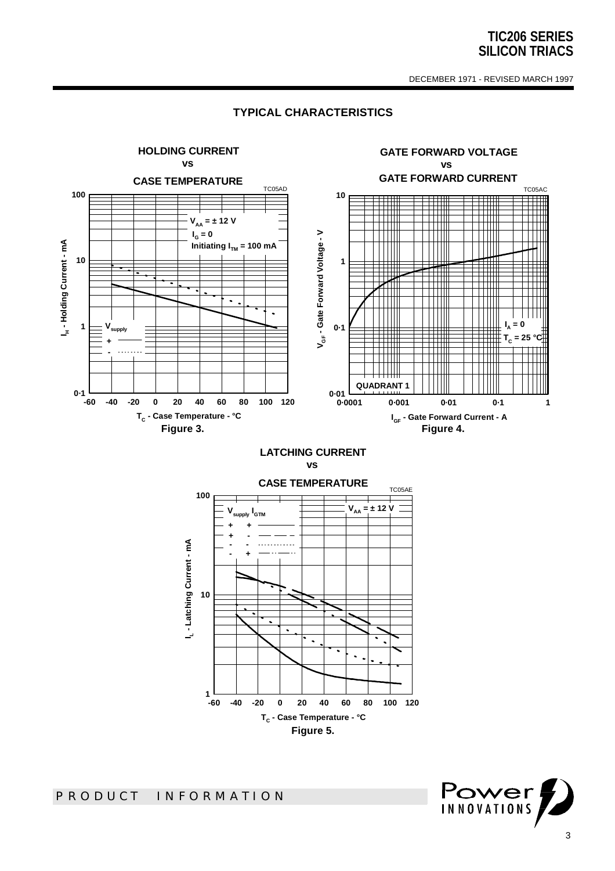DECEMBER 1971 - REVISED MARCH 1997

#### **HOLDING CURRENT GATE FORWARD VOLTAGE vs vs GATE FORWARD CURRENT CASE TEMPERATURE** TC05AD TC05AC **100 10 = ± 12 V**  $\pm$  $\color{red}+$ **VAA IG = 0 Gate Forward Voltage - V** ╥╥ **AInitiating I TM = 100 mA Holding Current - m 10 1** l.  $\overline{a}$ **= 0 IA 1 0·1 I<sup>H</sup> -Vsupply** ⋕ **VGF -** $T_c$  $= 25$ **+ - QUADRANT 1 0·1 0·01 -60 -40 -20 0 20 40 60 80 100 120 0·0001 0·001 0·01 0·1 1 TC - Case Temperature - °C IGF - Gate Forward Current - A** Figure 3. **Figure 4.**

## **TYPICAL CHARACTERISTICS**

**LATCHING CURRENT vs**



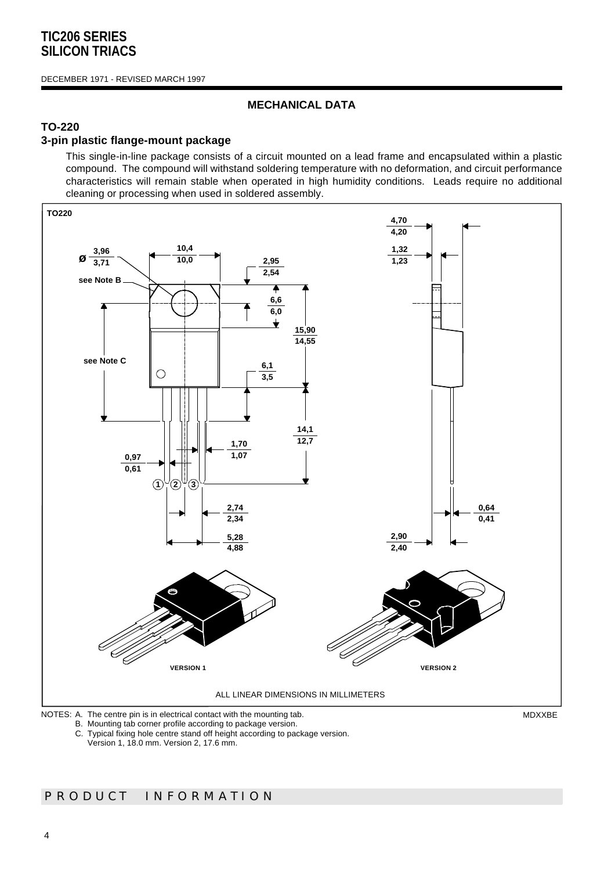#### DECEMBER 1971 - REVISED MARCH 1997

## **MECHANICAL DATA**

## **TO-220**

## **3-pin plastic flange-mount package**

This single-in-line package consists of a circuit mounted on a lead frame and encapsulated within a plastic compound. The compound will withstand soldering temperature with no deformation, and circuit performance characteristics will remain stable when operated in high humidity conditions. Leads require no additional cleaning or processing when used in soldered assembly.



B. Mounting tab corner profile according to package version.

C. Typical fixing hole centre stand off height according to package version.

Version 1, 18.0 mm. Version 2, 17.6 mm.